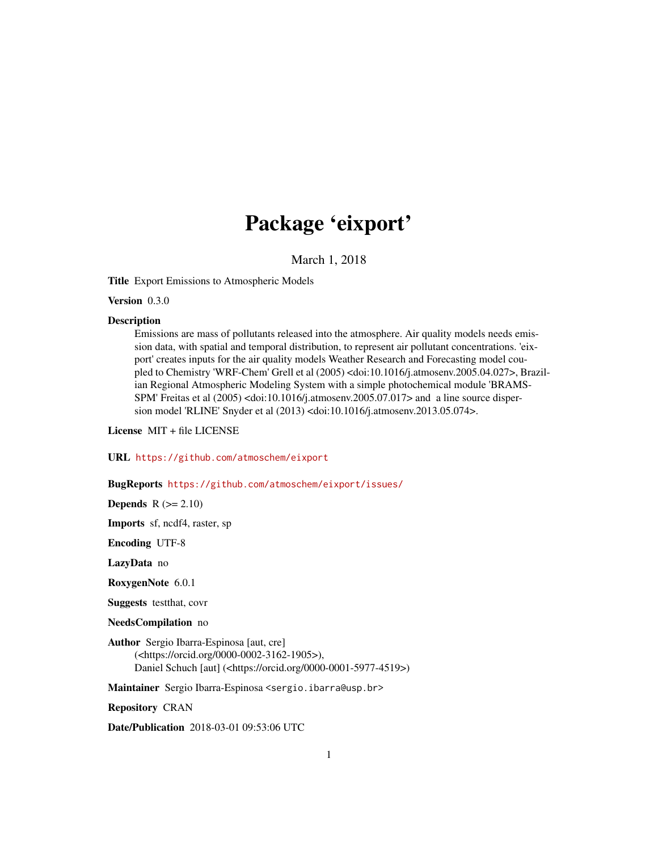# Package 'eixport'

March 1, 2018

Title Export Emissions to Atmospheric Models

Version 0.3.0

#### **Description**

Emissions are mass of pollutants released into the atmosphere. Air quality models needs emission data, with spatial and temporal distribution, to represent air pollutant concentrations. 'eixport' creates inputs for the air quality models Weather Research and Forecasting model coupled to Chemistry 'WRF-Chem' Grell et al (2005) <doi:10.1016/j.atmosenv.2005.04.027>, Brazilian Regional Atmospheric Modeling System with a simple photochemical module 'BRAMS-SPM' Freitas et al (2005) <doi:10.1016/j.atmosenv.2005.07.017> and a line source dispersion model 'RLINE' Snyder et al (2013) <doi:10.1016/j.atmosenv.2013.05.074>.

License MIT + file LICENSE

URL <https://github.com/atmoschem/eixport>

# BugReports <https://github.com/atmoschem/eixport/issues/>

**Depends**  $R (= 2.10)$ 

Imports sf, ncdf4, raster, sp

Encoding UTF-8

LazyData no

RoxygenNote 6.0.1

Suggests testthat, covr

NeedsCompilation no

Author Sergio Ibarra-Espinosa [aut, cre] (<https://orcid.org/0000-0002-3162-1905>), Daniel Schuch [aut] (<https://orcid.org/0000-0001-5977-4519>)

Maintainer Sergio Ibarra-Espinosa <sergio.ibarra@usp.br>

Repository CRAN

Date/Publication 2018-03-01 09:53:06 UTC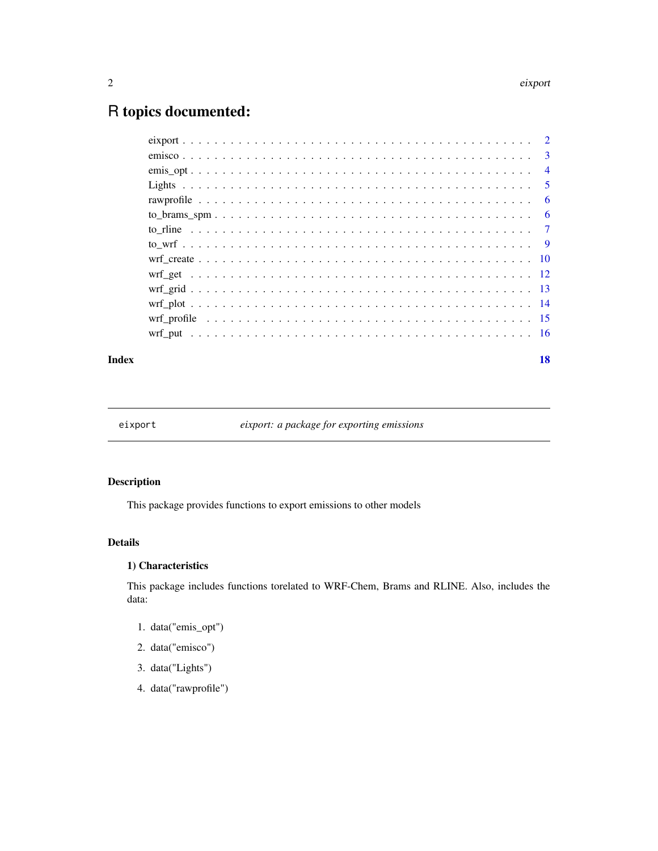#### <span id="page-1-0"></span>2 eixport of the contract of the contract of the contract of the contract of the contract of the contract of the contract of the contract of the contract of the contract of the contract of the contract of the contract of t

# R topics documented:

|  | $\overline{4}$ |
|--|----------------|
|  |                |
|  |                |
|  |                |
|  |                |
|  |                |
|  |                |
|  |                |
|  |                |
|  |                |
|  |                |
|  |                |
|  |                |

#### **Index** 2008 **[18](#page-17-0)**

eixport *eixport: a package for exporting emissions*

# Description

This package provides functions to export emissions to other models

#### Details

# 1) Characteristics

This package includes functions torelated to WRF-Chem, Brams and RLINE. Also, includes the data:

- 1. data("emis\_opt")
- 2. data("emisco")
- 3. data("Lights")
- 4. data("rawprofile")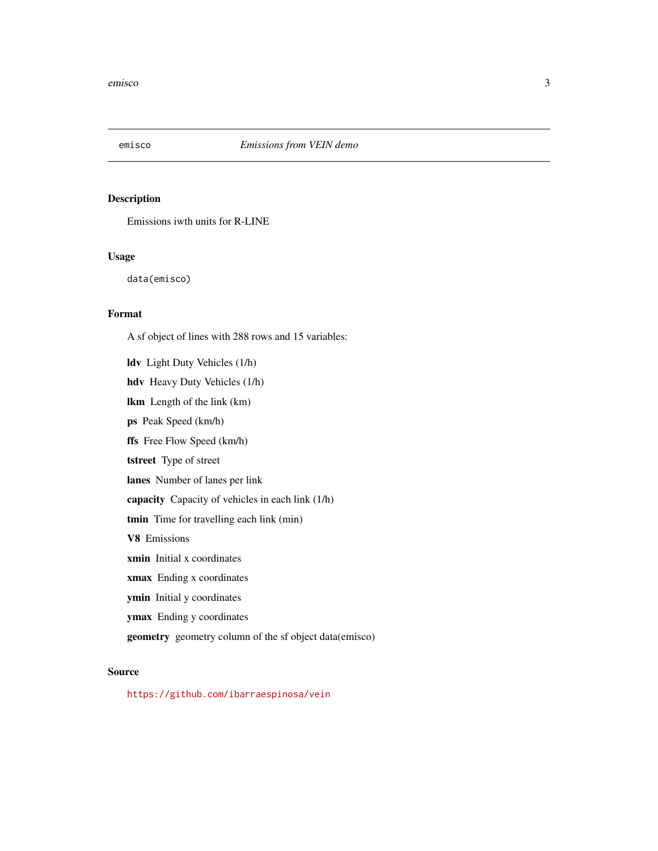<span id="page-2-0"></span>

# Description

Emissions iwth units for R-LINE

# Usage

data(emisco)

# Format

A sf object of lines with 288 rows and 15 variables:

ldv Light Duty Vehicles (1/h) hdv Heavy Duty Vehicles (1/h) lkm Length of the link (km) ps Peak Speed (km/h) ffs Free Flow Speed (km/h) tstreet Type of street lanes Number of lanes per link capacity Capacity of vehicles in each link (1/h) tmin Time for travelling each link (min) V8 Emissions xmin Initial x coordinates xmax Ending x coordinates ymin Initial y coordinates ymax Ending y coordinates geometry geometry column of the sf object data(emisco)

#### Source

<https://github.com/ibarraespinosa/vein>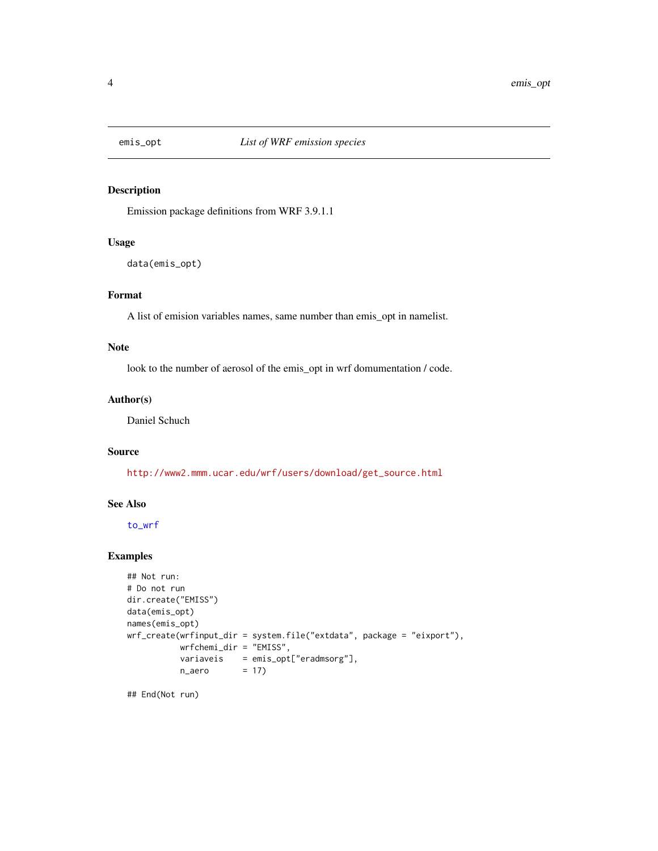<span id="page-3-1"></span><span id="page-3-0"></span>

#### Description

Emission package definitions from WRF 3.9.1.1

# Usage

```
data(emis_opt)
```
# Format

A list of emision variables names, same number than emis\_opt in namelist.

# Note

look to the number of aerosol of the emis\_opt in wrf domumentation / code.

#### Author(s)

Daniel Schuch

# Source

[http://www2.mmm.ucar.edu/wrf/users/download/get\\_source.html](http://www2.mmm.ucar.edu/wrf/users/download/get_source.html)

# See Also

[to\\_wrf](#page-8-1)

# Examples

```
## Not run:
# Do not run
dir.create("EMISS")
data(emis_opt)
names(emis_opt)
wrf_create(wrfinput_dir = system.file("extdata", package = "eixport"),
          wrfchemi_dir = "EMISS",
          variaveis = emis_opt["eradmsorg"],
          n_{a}ero = 17)
```
## End(Not run)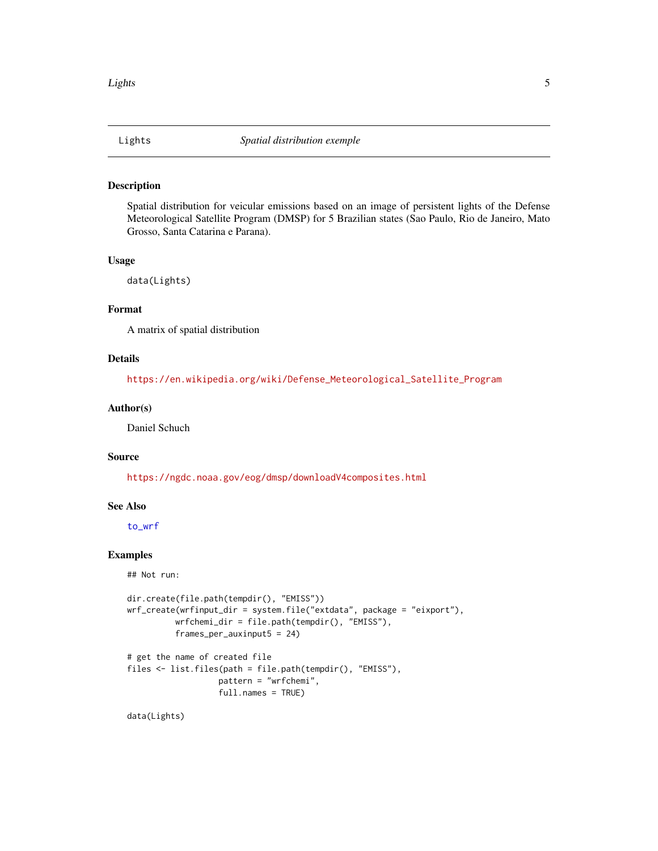<span id="page-4-0"></span>

#### Description

Spatial distribution for veicular emissions based on an image of persistent lights of the Defense Meteorological Satellite Program (DMSP) for 5 Brazilian states (Sao Paulo, Rio de Janeiro, Mato Grosso, Santa Catarina e Parana).

#### Usage

data(Lights)

# Format

A matrix of spatial distribution

# Details

[https://en.wikipedia.org/wiki/Defense\\_Meteorological\\_Satellite\\_Program](https://en.wikipedia.org/wiki/Defense_Meteorological_Satellite_Program)

# Author(s)

Daniel Schuch

#### Source

<https://ngdc.noaa.gov/eog/dmsp/downloadV4composites.html>

#### See Also

[to\\_wrf](#page-8-1)

# Examples

## Not run:

```
dir.create(file.path(tempdir(), "EMISS"))
wrf_create(wrfinput_dir = system.file("extdata", package = "eixport"),
          wrfchemi_dir = file.path(tempdir(), "EMISS"),
          frames_per_auxinput5 = 24)
# get the name of created file
files <- list.files(path = file.path(tempdir(), "EMISS"),
```
pattern = "wrfchemi", full.names = TRUE)

data(Lights)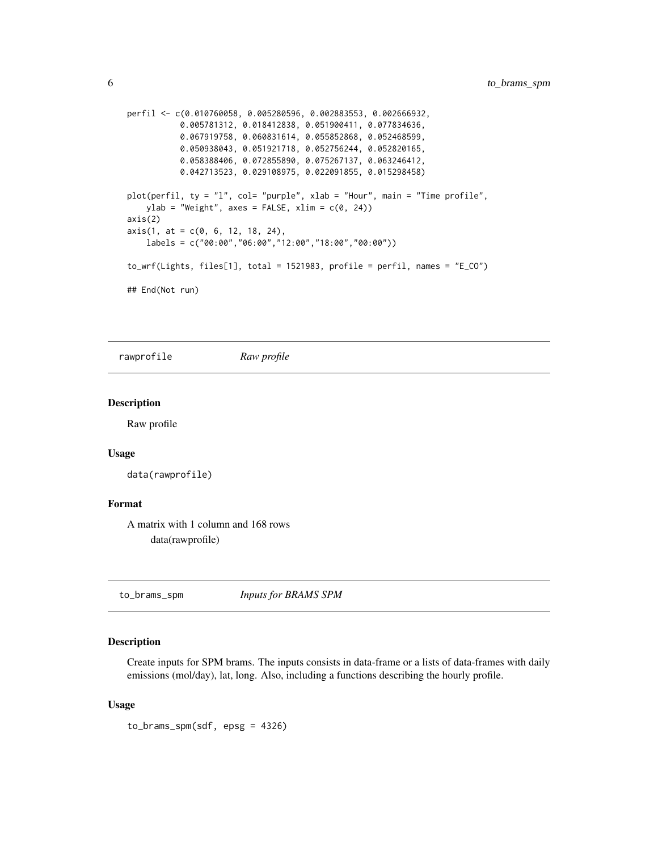```
perfil <- c(0.010760058, 0.005280596, 0.002883553, 0.002666932,
          0.005781312, 0.018412838, 0.051900411, 0.077834636,
          0.067919758, 0.060831614, 0.055852868, 0.052468599,
          0.050938043, 0.051921718, 0.052756244, 0.052820165,
          0.058388406, 0.072855890, 0.075267137, 0.063246412,
          0.042713523, 0.029108975, 0.022091855, 0.015298458)
plot(perfil, ty = "l", col= "purple", xlab = "Hour", main = "Time profile",
   ylab = "Weight", axes = FALSE, xlim = c(0, 24))axis(2)
axis(1, at = c(0, 6, 12, 18, 24),labels = c("00:00","06:00","12:00","18:00","00:00"))
to_wrf(Lights, files[1], total = 1521983, profile = perfil, names = "E_CO")
## End(Not run)
```
rawprofile *Raw profile*

#### Description

Raw profile

#### Usage

```
data(rawprofile)
```
# Format

A matrix with 1 column and 168 rows data(rawprofile)

to\_brams\_spm *Inputs for BRAMS SPM*

# Description

Create inputs for SPM brams. The inputs consists in data-frame or a lists of data-frames with daily emissions (mol/day), lat, long. Also, including a functions describing the hourly profile.

#### Usage

to\_brams\_spm(sdf, epsg = 4326)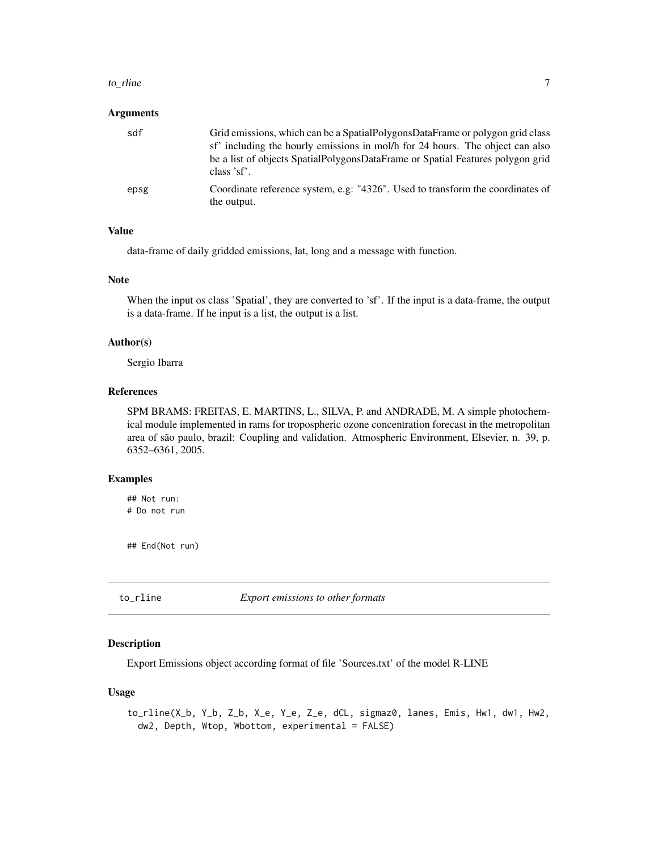#### <span id="page-6-0"></span>to\_rline 7

#### Arguments

| sdf  | Grid emissions, which can be a Spatial Polygons Data Frame or polygon grid class<br>sf' including the hourly emissions in mol/h for 24 hours. The object can also<br>be a list of objects SpatialPolygonsDataFrame or Spatial Features polygon grid<br>class 'sf'. |
|------|--------------------------------------------------------------------------------------------------------------------------------------------------------------------------------------------------------------------------------------------------------------------|
| epsg | Coordinate reference system, e.g: "4326". Used to transform the coordinates of<br>the output.                                                                                                                                                                      |

# Value

data-frame of daily gridded emissions, lat, long and a message with function.

#### Note

When the input os class 'Spatial', they are converted to 'sf'. If the input is a data-frame, the output is a data-frame. If he input is a list, the output is a list.

#### Author(s)

Sergio Ibarra

# References

SPM BRAMS: FREITAS, E. MARTINS, L., SILVA, P. and ANDRADE, M. A simple photochemical module implemented in rams for tropospheric ozone concentration forecast in the metropolitan area of são paulo, brazil: Coupling and validation. Atmospheric Environment, Elsevier, n. 39, p. 6352–6361, 2005.

# Examples

## Not run: # Do not run

## End(Not run)

to\_rline *Export emissions to other formats*

# Description

Export Emissions object according format of file 'Sources.txt' of the model R-LINE

#### Usage

to\_rline(X\_b, Y\_b, Z\_b, X\_e, Y\_e, Z\_e, dCL, sigmaz0, lanes, Emis, Hw1, dw1, Hw2, dw2, Depth, Wtop, Wbottom, experimental = FALSE)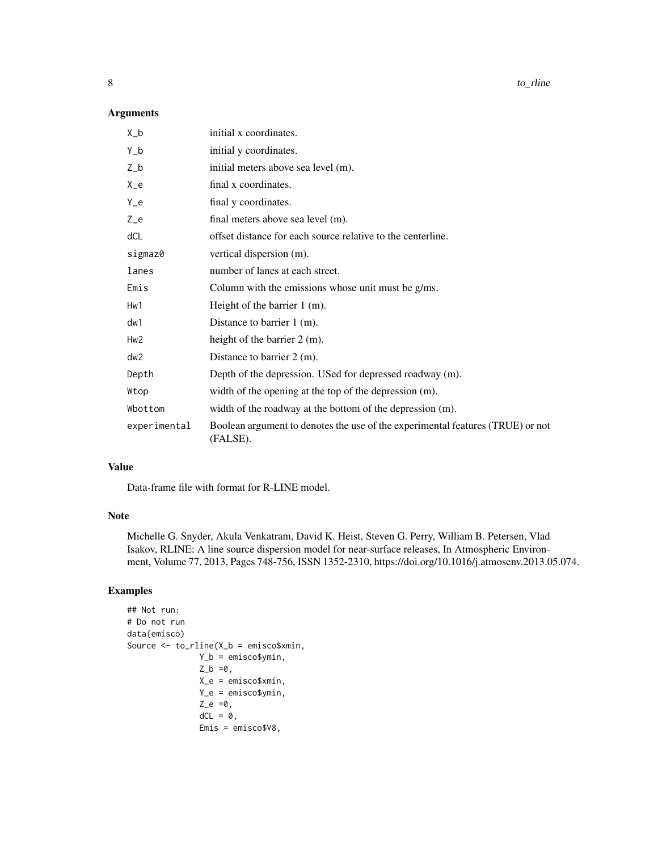8 to\_rline to the control of the control of the control of the control of the control of the control of the control of the control of the control of the control of the control of the control of the control of the control o

# Arguments

| $X_b$           | initial x coordinates.                                                                     |
|-----------------|--------------------------------------------------------------------------------------------|
| $Y_b$           | initial y coordinates.                                                                     |
| $Z_b$           | initial meters above sea level (m).                                                        |
| $X_e$           | final x coordinates.                                                                       |
| $Y_e$           | final y coordinates.                                                                       |
| $Z_e$           | final meters above sea level (m).                                                          |
| dCL             | offset distance for each source relative to the centerline.                                |
| sigmaz0         | vertical dispersion (m).                                                                   |
| lanes           | number of lanes at each street.                                                            |
| Emis            | Column with the emissions whose unit must be g/ms.                                         |
| Hw1             | Height of the barrier 1 (m).                                                               |
| dw1             | Distance to barrier 1 (m).                                                                 |
| Hw <sub>2</sub> | height of the barrier $2 \text{ (m)}$ .                                                    |
| dw2             | Distance to barrier $2 \, \text{(m)}$ .                                                    |
| Depth           | Depth of the depression. USed for depressed roadway (m).                                   |
| Wtop            | width of the opening at the top of the depression (m).                                     |
| Wbottom         | width of the roadway at the bottom of the depression (m).                                  |
| experimental    | Boolean argument to denotes the use of the experimental features (TRUE) or not<br>(FALSE). |

# Value

Data-frame file with format for R-LINE model.

#### Note

Michelle G. Snyder, Akula Venkatram, David K. Heist, Steven G. Perry, William B. Petersen, Vlad Isakov, RLINE: A line source dispersion model for near-surface releases, In Atmospheric Environment, Volume 77, 2013, Pages 748-756, ISSN 1352-2310, https://doi.org/10.1016/j.atmosenv.2013.05.074.

# Examples

```
## Not run:
# Do not run
data(emisco)
Source <- to_rline(X_b = emisco$xmin,
               Y_b = emisco$ymin,
               Z_b = 0,
               X_e = emisco$xmin,
               Y_e = emisco$ymin,
               Z_e = 0,
               dCL = 0,
               Emis = emisco$V8,
```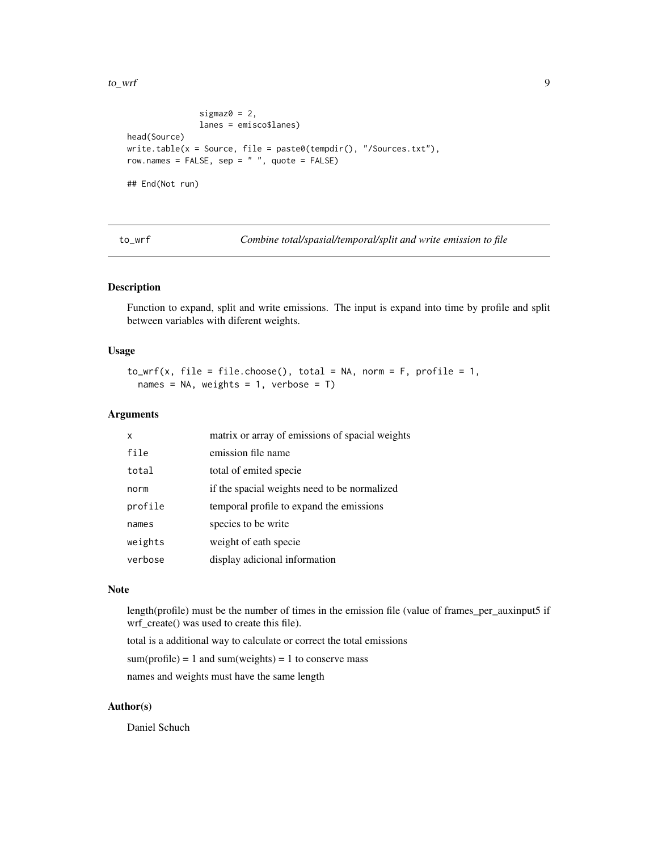<span id="page-8-0"></span>to\_wrf 9

```
sigmaz0 = 2,
               lanes = emisco$lanes)
head(Source)
write.table(x = Source, file = paste0(tempdir(), "/Sources.txt"),
row.names = FALSE, sep = " " , quote = FALSE)## End(Not run)
```
<span id="page-8-1"></span>to\_wrf *Combine total/spasial/temporal/split and write emission to file*

#### Description

Function to expand, split and write emissions. The input is expand into time by profile and split between variables with diferent weights.

# Usage

```
to_wrf(x, file = filechoose(), total = NA, norm = F, profile = 1,names = NA, weights = 1, verbose = T)
```
# Arguments

| X       | matrix or array of emissions of spacial weights |
|---------|-------------------------------------------------|
| file    | emission file name                              |
| total   | total of emited specie                          |
| norm    | if the spacial weights need to be normalized    |
| profile | temporal profile to expand the emissions        |
| names   | species to be write                             |
| weights | weight of eath specie                           |
| verbose | display adicional information                   |

#### Note

length(profile) must be the number of times in the emission file (value of frames\_per\_auxinput5 if wrf\_create() was used to create this file).

total is a additional way to calculate or correct the total emissions

sum(profile) = 1 and sum(weights) = 1 to conserve mass

names and weights must have the same length

# Author(s)

Daniel Schuch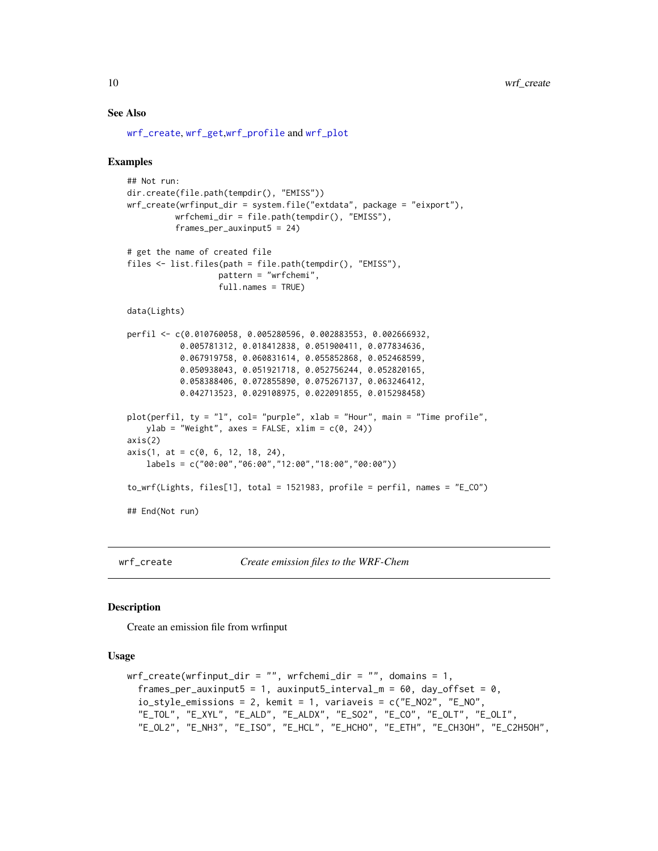#### See Also

[wrf\\_create](#page-9-1), [wrf\\_get](#page-11-1),[wrf\\_profile](#page-14-1) and [wrf\\_plot](#page-13-1)

#### Examples

```
## Not run:
dir.create(file.path(tempdir(), "EMISS"))
wrf_create(wrfinput_dir = system.file("extdata", package = "eixport"),
         wrfchemi_dir = file.path(tempdir(), "EMISS"),
         frames_per_auxinput5 = 24)
# get the name of created file
files <- list.files(path = file.path(tempdir(), "EMISS"),
                  pattern = "wrfchemi",
                  full.names = TRUE)
data(Lights)
perfil <- c(0.010760058, 0.005280596, 0.002883553, 0.002666932,
           0.005781312, 0.018412838, 0.051900411, 0.077834636,
           0.067919758, 0.060831614, 0.055852868, 0.052468599,
          0.050938043, 0.051921718, 0.052756244, 0.052820165,
           0.058388406, 0.072855890, 0.075267137, 0.063246412,
           0.042713523, 0.029108975, 0.022091855, 0.015298458)
plot(perfil, ty = "l", col= "purple", xlab = "Hour", main = "Time profile",
   ylab = "Weight", axes = FALSE, xlim = c(0, 24))axis(2)
axis(1, at = c(0, 6, 12, 18, 24),labels = c("00:00","06:00","12:00","18:00","00:00"))
to_wrf(Lights, files[1], total = 1521983, profile = perfil, names = "E_CO")
## End(Not run)
```
<span id="page-9-1"></span>

wrf\_create *Create emission files to the WRF-Chem*

#### Description

Create an emission file from wrfinput

#### Usage

```
wrf\_create(wrfinput\_dir = "", wrfchemi\_dir = "", domains = 1,frames_per_auxinput5 = 1, auxinput5_interval_m = 60, day_offset = 0,
  io_style_emissions = 2, kemit = 1, variaveis = c("E_NO2", "E_NO",
  "E_TOL", "E_XYL", "E_ALD", "E_ALDX", "E_SO2", "E_CO", "E_OLT", "E_OLI",
  "E_OL2", "E_NH3", "E_ISO", "E_HCL", "E_HCHO", "E_ETH", "E_CH3OH", "E_C2H5OH",
```
<span id="page-9-0"></span>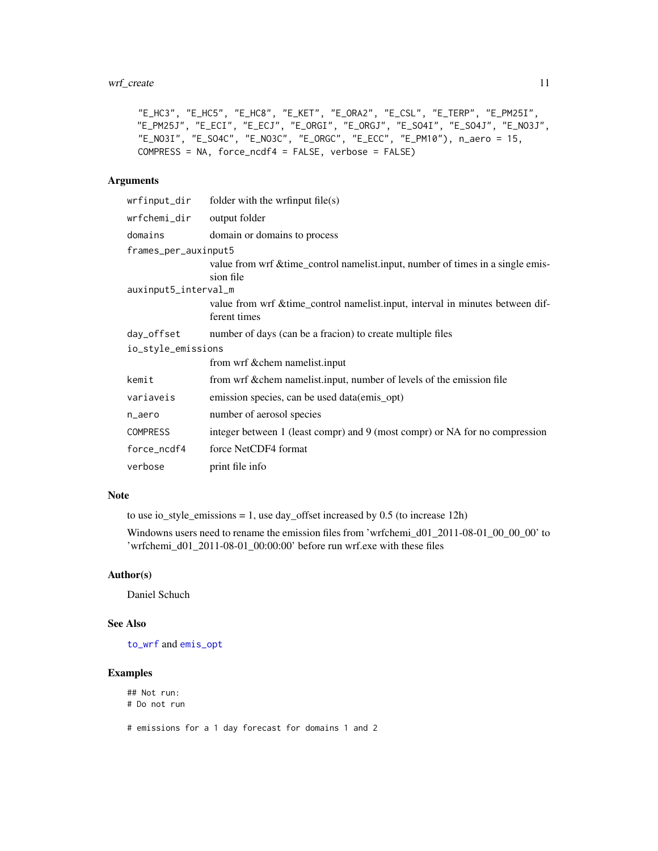# <span id="page-10-0"></span>wrf\_create 11

```
"E_HC3", "E_HC5", "E_HC8", "E_KET", "E_ORA2", "E_CSL", "E_TERP", "E_PM25I",
"E_PM25J", "E_ECI", "E_ECJ", "E_ORGI", "E_ORGJ", "E_SO4I", "E_SO4J", "E_NO3J",
"E_NO3I", "E_SO4C", "E_NO3C", "E_ORGC", "E_ECC", "E_PM10"), n_aero = 15,
COMPRESS = NA, force_ncdf4 = FALSE, verbose = FALSE)
```
### Arguments

| wrfinput_dir         | folder with the writinput $file(s)$                                                            |
|----------------------|------------------------------------------------------------------------------------------------|
| wrfchemi_dir         | output folder                                                                                  |
| domains              | domain or domains to process                                                                   |
| frames_per_auxinput5 |                                                                                                |
|                      | value from wrf & time_control namelist.input, number of times in a single emis-<br>sion file   |
| auxinput5_interval_m |                                                                                                |
|                      | value from wrf & time_control namelist.input, interval in minutes between dif-<br>ferent times |
| day_offset           | number of days (can be a fracion) to create multiple files                                     |
| io_style_emissions   |                                                                                                |
|                      | from wrf & chem namelist.input                                                                 |
| kemit                | from wrf & chem namelist.input, number of levels of the emission file                          |
| variaveis            | emission species, can be used data(emis_opt)                                                   |
| n_aero               | number of aerosol species                                                                      |
| <b>COMPRESS</b>      | integer between 1 (least compr) and 9 (most compr) or NA for no compression                    |
| force_ncdf4          | force NetCDF4 format                                                                           |
| verbose              | print file info                                                                                |

# Note

to use io\_style\_emissions = 1, use day\_offset increased by  $0.5$  (to increase 12h)

Windowns users need to rename the emission files from 'wrfchemi\_d01\_2011-08-01\_00\_00\_00' to 'wrfchemi\_d01\_2011-08-01\_00:00:00' before run wrf.exe with these files

# Author(s)

Daniel Schuch

#### See Also

[to\\_wrf](#page-8-1) and [emis\\_opt](#page-3-1)

# Examples

## Not run: # Do not run

# emissions for a 1 day forecast for domains 1 and 2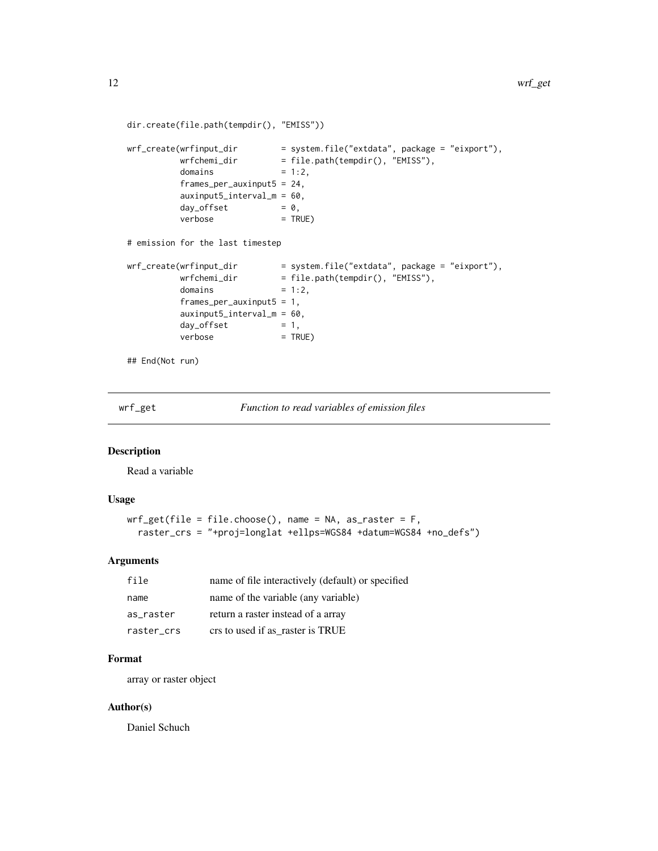```
dir.create(file.path(tempdir(), "EMISS"))
wrf_create(wrfinput_dir = system.file("extdata", package = "eixport"),
         wrfchemi_dir = file.path(tempdir(), "EMISS"),
         domains = 1:2,
         frames_per_auxinput5 = 24,
         auxinput5_interval_m = 60,
         day_{of}fset = 0,
         verbose = TRUE)
# emission for the last timestep
wrf_create(wrfinput_dir = system.file("extdata", package = "eixport"),
         wrfchemi_dir = file.path(tempdir(), "EMISS"),
         domains = 1:2,
         frames_per_auxinput5 = 1,
         auxinput5_interval_m = 60,
         day_offset = 1,
         verbose = TRUE)
## End(Not run)
```
<span id="page-11-1"></span>wrf\_get *Function to read variables of emission files*

# Description

Read a variable

#### Usage

```
wrf_get(file = file.choose(), name = NA, as_raster = F,
  raster_crs = "+proj=longlat +ellps=WGS84 +datum=WGS84 +no_defs")
```
# Arguments

| file       | name of file interactively (default) or specified |
|------------|---------------------------------------------------|
| name       | name of the variable (any variable)               |
| as raster  | return a raster instead of a array                |
| raster crs | crs to used if as raster is TRUE                  |

# Format

array or raster object

#### Author(s)

Daniel Schuch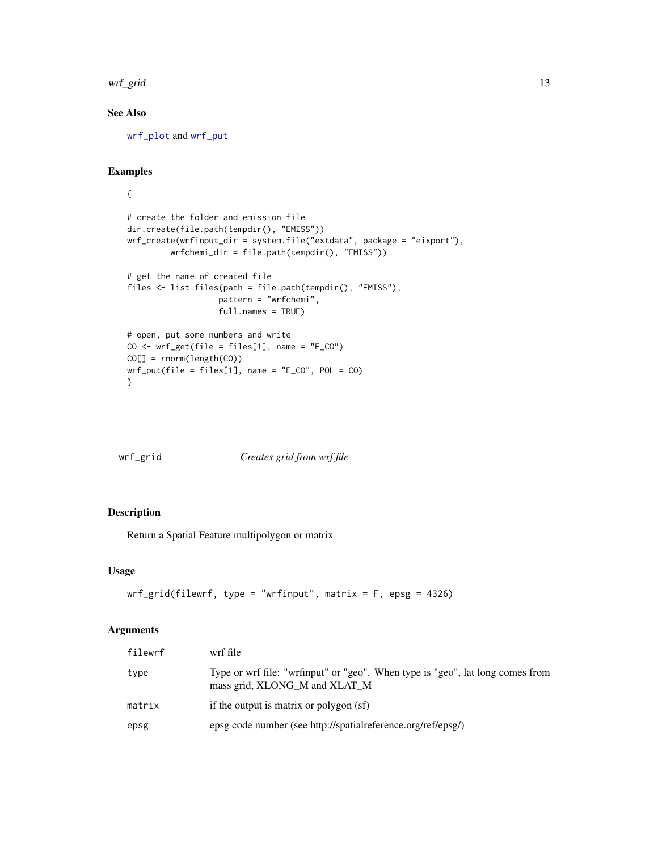<span id="page-12-0"></span>wrf\_grid 13

# See Also

[wrf\\_plot](#page-13-1) and [wrf\\_put](#page-15-1)

# Examples

```
{
# create the folder and emission file
dir.create(file.path(tempdir(), "EMISS"))
wrf_create(wrfinput_dir = system.file("extdata", package = "eixport"),
         wrfchemi_dir = file.path(tempdir(), "EMISS"))
# get the name of created file
files <- list.files(path = file.path(tempdir(), "EMISS"),
                   pattern = "wrfchemi",
                   full.names = TRUE)
# open, put some numbers and write
CO \leftarrow wrf\_get(file = files[1], name = "E_CO")CO[] = rnorm(length(CO))
wrf_put(file = files[1], name = "E_C0", POL = CO)}
```
# wrf\_grid *Creates grid from wrf file*

# Description

Return a Spatial Feature multipolygon or matrix

#### Usage

```
wrf\_grid(filewrf, type = "wrfinput", matrix = F, epsg = 4326)
```
#### Arguments

| filewrf | wrf file                                                                                                        |
|---------|-----------------------------------------------------------------------------------------------------------------|
| type    | Type or wrf file: "wrfinput" or "geo". When type is "geo", lat long comes from<br>mass grid, XLONG M and XLAT M |
| matrix  | if the output is matrix or polygon (sf)                                                                         |
| epsg    | epsg code number (see http://spatialreference.org/ref/epsg/)                                                    |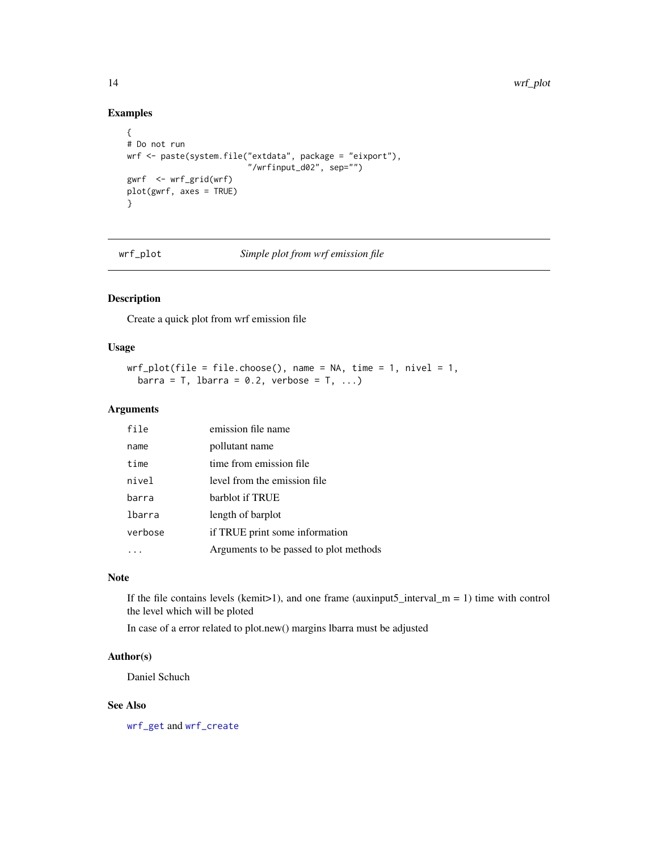# Examples

```
{
# Do not run
wrf <- paste(system.file("extdata", package = "eixport"),
                         "/wrfinput_d02", sep="")
gwrf <- wrf_grid(wrf)
plot(gwrf, axes = TRUE)
}
```
<span id="page-13-1"></span>wrf\_plot *Simple plot from wrf emission file*

# Description

Create a quick plot from wrf emission file

#### Usage

```
wrf\_plot(file = file.close(), name = NA, time = 1, nivel = 1,barra = T, lbarra = 0.2, verbose = T, ...)
```
# Arguments

| file    | emission file name                     |
|---------|----------------------------------------|
| name    | pollutant name                         |
| time    | time from emission file.               |
| nivel   | level from the emission file           |
| barra   | barblot if TRUE                        |
| lbarra  | length of barplot                      |
| verbose | if TRUE print some information         |
|         | Arguments to be passed to plot methods |
|         |                                        |

# Note

If the file contains levels (kemit>1), and one frame (auxinput5\_interval\_m = 1) time with control the level which will be ploted

In case of a error related to plot.new() margins lbarra must be adjusted

# Author(s)

Daniel Schuch

#### See Also

[wrf\\_get](#page-11-1) and [wrf\\_create](#page-9-1)

<span id="page-13-0"></span>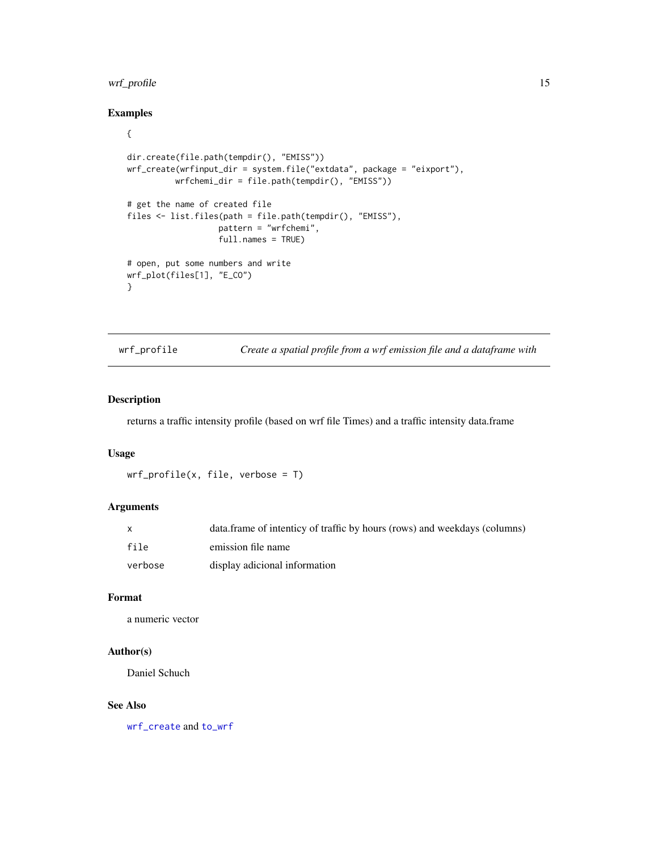# <span id="page-14-0"></span>wrf\_profile 15

# Examples

```
{
dir.create(file.path(tempdir(), "EMISS"))
wrf_create(wrfinput_dir = system.file("extdata", package = "eixport"),
         wrfchemi_dir = file.path(tempdir(), "EMISS"))
# get the name of created file
files <- list.files(path = file.path(tempdir(), "EMISS"),
                   pattern = "wrfchemi",
                   full.names = TRUE)
# open, put some numbers and write
wrf_plot(files[1], "E_CO")
}
```
<span id="page-14-1"></span>wrf\_profile *Create a spatial profile from a wrf emission file and a dataframe with*

#### Description

returns a traffic intensity profile (based on wrf file Times) and a traffic intensity data.frame

#### Usage

```
wrf\_profile(x, file, verbose = T)
```
## Arguments

|         | data.frame of intenticy of traffic by hours (rows) and weekdays (columns) |
|---------|---------------------------------------------------------------------------|
| file    | emission file name                                                        |
| verbose | display adicional information                                             |

# Format

a numeric vector

#### Author(s)

Daniel Schuch

#### See Also

[wrf\\_create](#page-9-1) and [to\\_wrf](#page-8-1)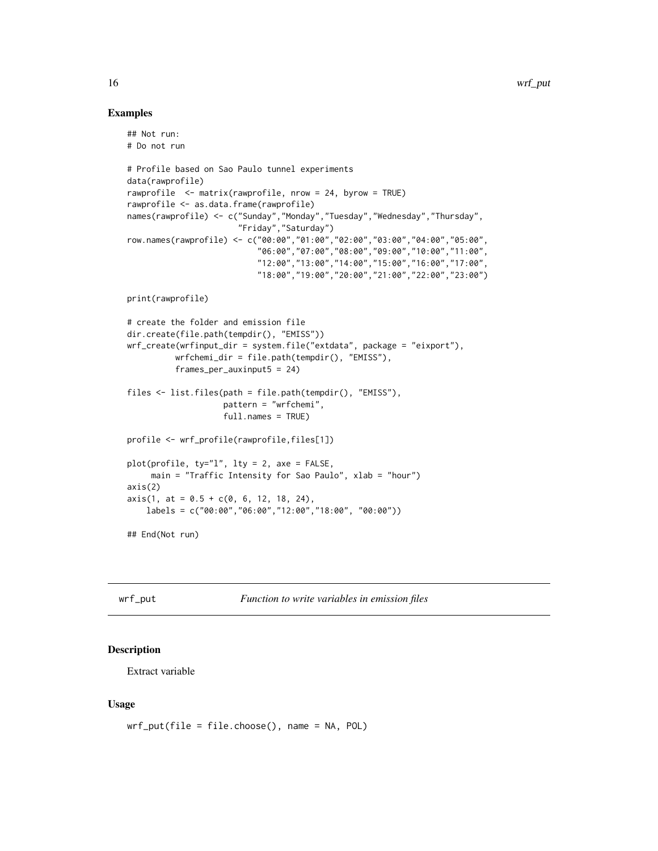#### Examples

```
## Not run:
# Do not run
# Profile based on Sao Paulo tunnel experiments
data(rawprofile)
rawprofile <- matrix(rawprofile, nrow = 24, byrow = TRUE)
rawprofile <- as.data.frame(rawprofile)
names(rawprofile) <- c("Sunday","Monday","Tuesday","Wednesday","Thursday",
                       "Friday","Saturday")
row.names(rawprofile) <- c("00:00","01:00","02:00","03:00","04:00","05:00",
                           "06:00","07:00","08:00","09:00","10:00","11:00",
                           "12:00","13:00","14:00","15:00","16:00","17:00",
                           "18:00","19:00","20:00","21:00","22:00","23:00")
print(rawprofile)
# create the folder and emission file
dir.create(file.path(tempdir(), "EMISS"))
wrf_create(wrfinput_dir = system.file("extdata", package = "eixport"),
          wrfchemi_dir = file.path(tempdir(), "EMISS"),
         frames_per_auxinput5 = 24)
files <- list.files(path = file.path(tempdir(), "EMISS"),
                    pattern = "wrfchemi",
                    full.names = TRUE)
profile <- wrf_profile(rawprofile,files[1])
plot(profile, ty="l", lty = 2, axe = FALSE,
    main = "Traffic Intensity for Sao Paulo", xlab = "hour")
axis(2)
axis(1, at = 0.5 + c(0, 6, 12, 18, 24),labels = c("00:00","06:00","12:00","18:00", "00:00"))
## End(Not run)
```
<span id="page-15-1"></span>

wrf\_put *Function to write variables in emission files*

#### **Description**

Extract variable

#### Usage

```
wrf_put(file = file.choose(), name = NA, POL)
```
<span id="page-15-0"></span>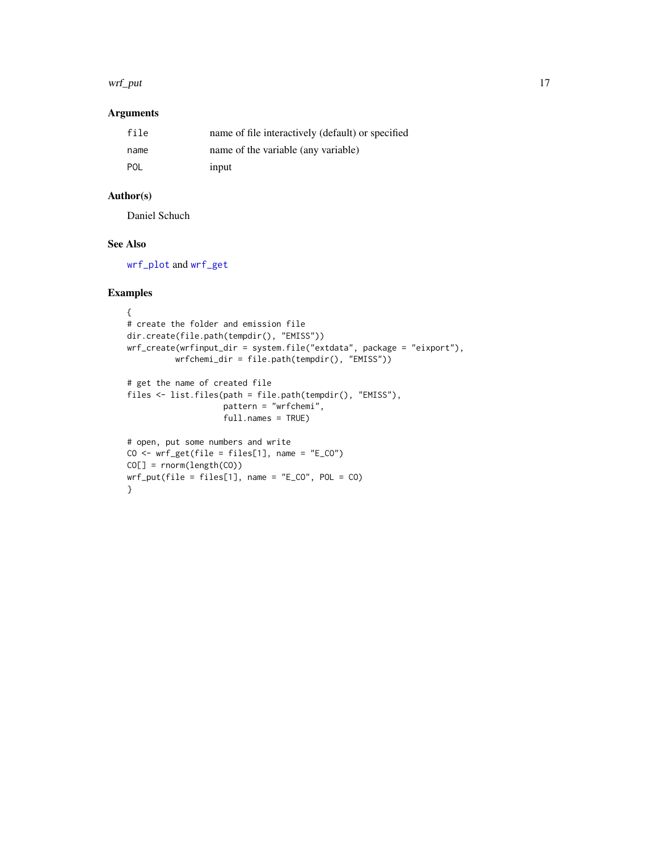#### <span id="page-16-0"></span>wrf\_put 17

# Arguments

| file | name of file interactively (default) or specified |
|------|---------------------------------------------------|
| name | name of the variable (any variable)               |
| POL  | input                                             |

# Author(s)

Daniel Schuch

# See Also

[wrf\\_plot](#page-13-1) and [wrf\\_get](#page-11-1)

# Examples

```
{
# create the folder and emission file
dir.create(file.path(tempdir(), "EMISS"))
wrf_create(wrfinput_dir = system.file("extdata", package = "eixport"),
          wrfchemi_dir = file.path(tempdir(), "EMISS"))
# get the name of created file
files <- list.files(path = file.path(tempdir(), "EMISS"),
                    pattern = "wrfchemi",
                    full.names = TRUE)
# open, put some numbers and write
CO \leftarrow wrf\_get(file = files[1], name = "E_CO")CO[] = rnorm(length(CO))
wrf_put(file = files[1], name = "E_C0", POL = CO)}
```